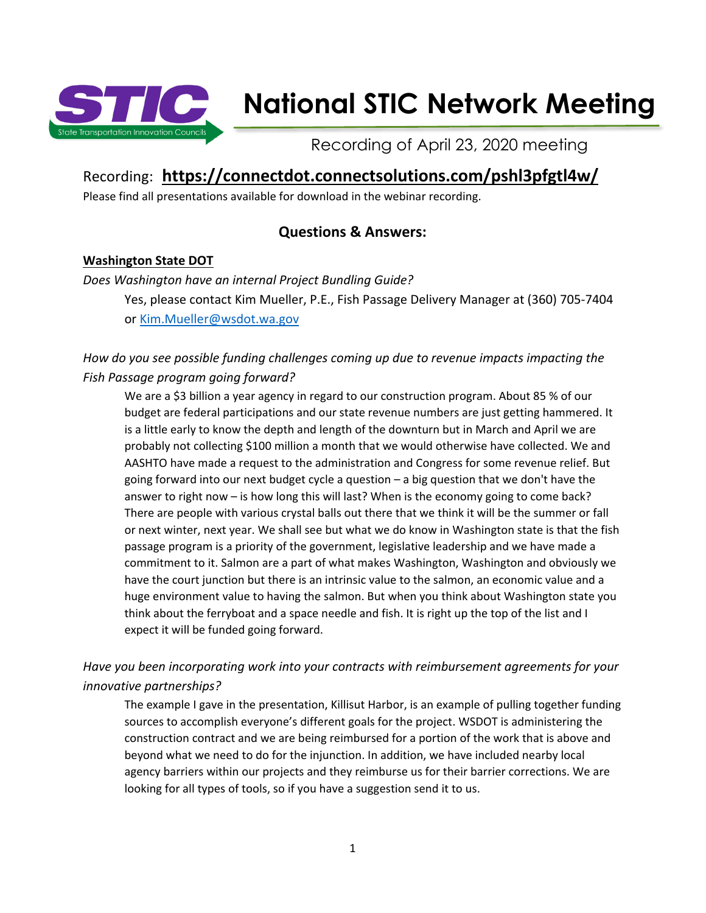

# **National STIC Network Meeting**

Recording of April 23, 2020 meeting

## Recording: **[https://connectdot.connectsolutions.com/pshl3pfgtl4w/](https://connectdot.connectsolutions.com/pshl3pfgtl4w/?OWASP_CSRFTOKEN=64fcee92a4c57a95885b140f6c028be758043edd5c86a09156dbca0d5d97dc70)**

Please find all presentations available for download in the webinar recording.

## **Questions & Answers:**

## **Washington State DOT**

*Does Washington have an internal Project Bundling Guide?*

Yes, please contact Kim Mueller, P.E., Fish Passage Delivery Manager at (360) 705-7404 or [Kim.Mueller@wsdot.wa.gov](mailto:Kim.Mueller@wsdot.wa.gov)

## *How do you see possible funding challenges coming up due to revenue impacts impacting the Fish Passage program going forward?*

We are a \$3 billion a year agency in regard to our construction program. About 85 % of our budget are federal participations and our state revenue numbers are just getting hammered. It is a little early to know the depth and length of the downturn but in March and April we are probably not collecting \$100 million a month that we would otherwise have collected. We and AASHTO have made a request to the administration and Congress for some revenue relief. But going forward into our next budget cycle a question – a big question that we don't have the answer to right now – is how long this will last? When is the economy going to come back? There are people with various crystal balls out there that we think it will be the summer or fall or next winter, next year. We shall see but what we do know in Washington state is that the fish passage program is a priority of the government, legislative leadership and we have made a commitment to it. Salmon are a part of what makes Washington, Washington and obviously we have the court junction but there is an intrinsic value to the salmon, an economic value and a huge environment value to having the salmon. But when you think about Washington state you think about the ferryboat and a space needle and fish. It is right up the top of the list and I expect it will be funded going forward.

## *Have you been incorporating work into your contracts with reimbursement agreements for your innovative partnerships?*

The example I gave in the presentation, Killisut Harbor, is an example of pulling together funding sources to accomplish everyone's different goals for the project. WSDOT is administering the construction contract and we are being reimbursed for a portion of the work that is above and beyond what we need to do for the injunction. In addition, we have included nearby local agency barriers within our projects and they reimburse us for their barrier corrections. We are looking for all types of tools, so if you have a suggestion send it to us.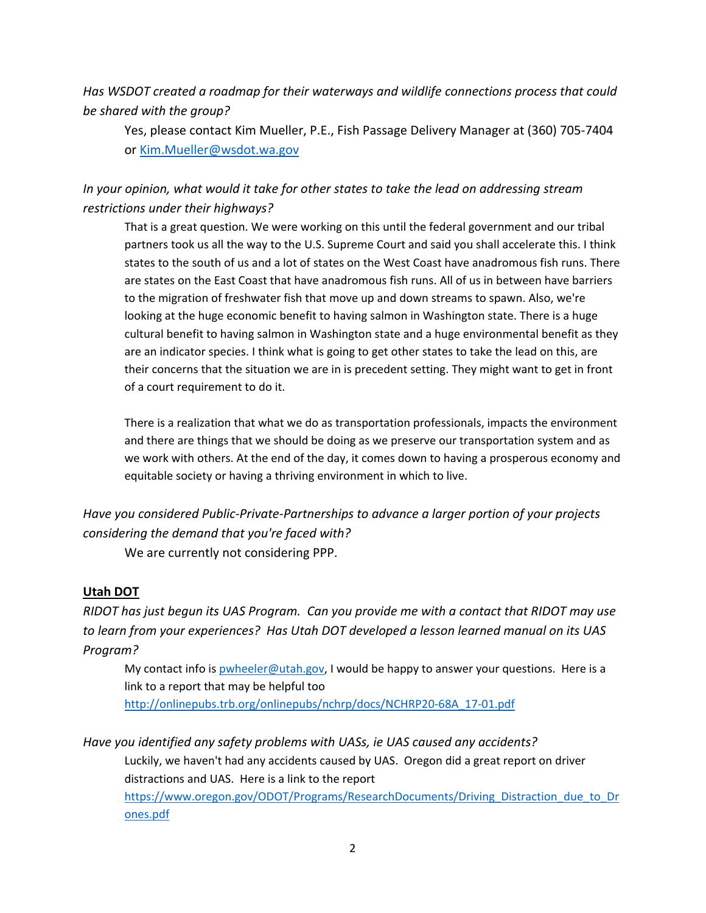*Has WSDOT created a roadmap for their waterways and wildlife connections process that could be shared with the group?* 

Yes, please contact Kim Mueller, P.E., Fish Passage Delivery Manager at (360) 705-7404 or [Kim.Mueller@wsdot.wa.gov](mailto:Kim.Mueller@wsdot.wa.gov)

## *In your opinion, what would it take for other states to take the lead on addressing stream restrictions under their highways?*

That is a great question. We were working on this until the federal government and our tribal partners took us all the way to the U.S. Supreme Court and said you shall accelerate this. I think states to the south of us and a lot of states on the West Coast have anadromous fish runs. There are states on the East Coast that have anadromous fish runs. All of us in between have barriers to the migration of freshwater fish that move up and down streams to spawn. Also, we're looking at the huge economic benefit to having salmon in Washington state. There is a huge cultural benefit to having salmon in Washington state and a huge environmental benefit as they are an indicator species. I think what is going to get other states to take the lead on this, are their concerns that the situation we are in is precedent setting. They might want to get in front of a court requirement to do it.

There is a realization that what we do as transportation professionals, impacts the environment and there are things that we should be doing as we preserve our transportation system and as we work with others. At the end of the day, it comes down to having a prosperous economy and equitable society or having a thriving environment in which to live.

## *Have you considered Public-Private-Partnerships to advance a larger portion of your projects considering the demand that you're faced with?*

We are currently not considering PPP.

## **Utah DOT**

*RIDOT has just begun its UAS Program. Can you provide me with a contact that RIDOT may use to learn from your experiences? Has Utah DOT developed a lesson learned manual on its UAS Program?*

My contact info is [pwheeler@utah.gov,](mailto:pwheeler@utah.gov) I would be happy to answer your questions. Here is a link to a report that may be helpful too [http://onlinepubs.trb.org/onlinepubs/nchrp/docs/NCHRP20-68A\\_17-01.pdf](http://onlinepubs.trb.org/onlinepubs/nchrp/docs/NCHRP20-68A_17-01.pdf)

*Have you identified any safety problems with UASs, ie UAS caused any accidents?* Luckily, we haven't had any accidents caused by UAS. Oregon did a great report on driver distractions and UAS. Here is a link to the report [https://www.oregon.gov/ODOT/Programs/ResearchDocuments/Driving\\_Distraction\\_due\\_to\\_Dr](https://www.oregon.gov/ODOT/Programs/ResearchDocuments/Driving_Distraction_due_to_Drones.pdf) [ones.pdf](https://www.oregon.gov/ODOT/Programs/ResearchDocuments/Driving_Distraction_due_to_Drones.pdf)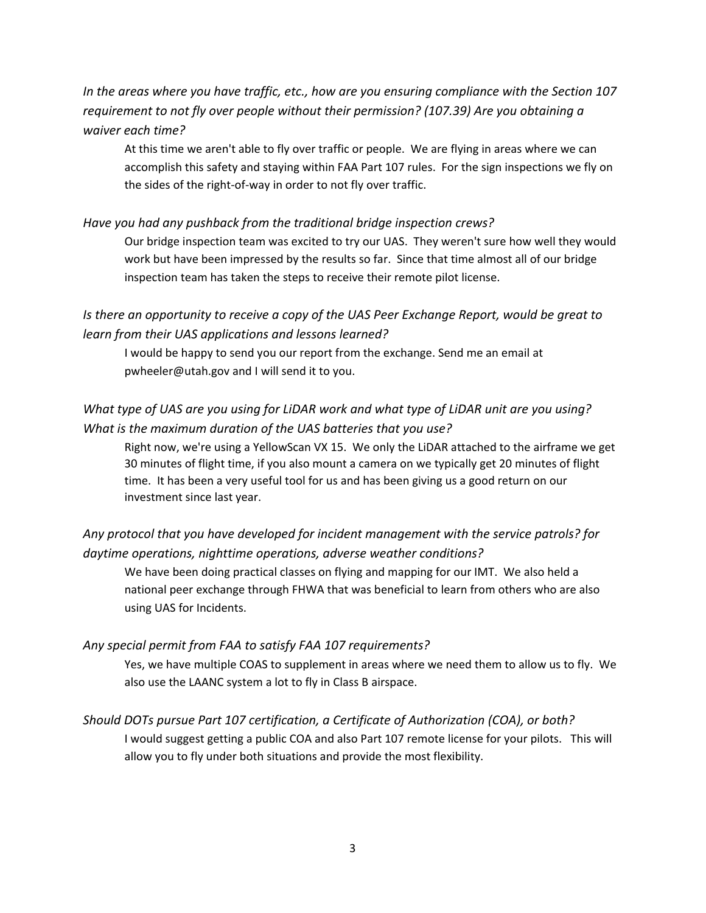*In the areas where you have traffic, etc., how are you ensuring compliance with the Section 107 requirement to not fly over people without their permission? (107.39) Are you obtaining a waiver each time?*

At this time we aren't able to fly over traffic or people. We are flying in areas where we can accomplish this safety and staying within FAA Part 107 rules. For the sign inspections we fly on the sides of the right-of-way in order to not fly over traffic.

#### *Have you had any pushback from the traditional bridge inspection crews?*

Our bridge inspection team was excited to try our UAS. They weren't sure how well they would work but have been impressed by the results so far. Since that time almost all of our bridge inspection team has taken the steps to receive their remote pilot license.

## *Is there an opportunity to receive a copy of the UAS Peer Exchange Report, would be great to learn from their UAS applications and lessons learned?*

I would be happy to send you our report from the exchange. Send me an email at pwheeler@utah.gov and I will send it to you.

## *What type of UAS are you using for LiDAR work and what type of LiDAR unit are you using? What is the maximum duration of the UAS batteries that you use?*

Right now, we're using a YellowScan VX 15. We only the LiDAR attached to the airframe we get 30 minutes of flight time, if you also mount a camera on we typically get 20 minutes of flight time. It has been a very useful tool for us and has been giving us a good return on our investment since last year.

## *Any protocol that you have developed for incident management with the service patrols? for daytime operations, nighttime operations, adverse weather conditions?*

We have been doing practical classes on flying and mapping for our IMT. We also held a national peer exchange through FHWA that was beneficial to learn from others who are also using UAS for Incidents.

#### *Any special permit from FAA to satisfy FAA 107 requirements?*

Yes, we have multiple COAS to supplement in areas where we need them to allow us to fly. We also use the LAANC system a lot to fly in Class B airspace.

#### *Should DOTs pursue Part 107 certification, a Certificate of Authorization (COA), or both?*

I would suggest getting a public COA and also Part 107 remote license for your pilots. This will allow you to fly under both situations and provide the most flexibility.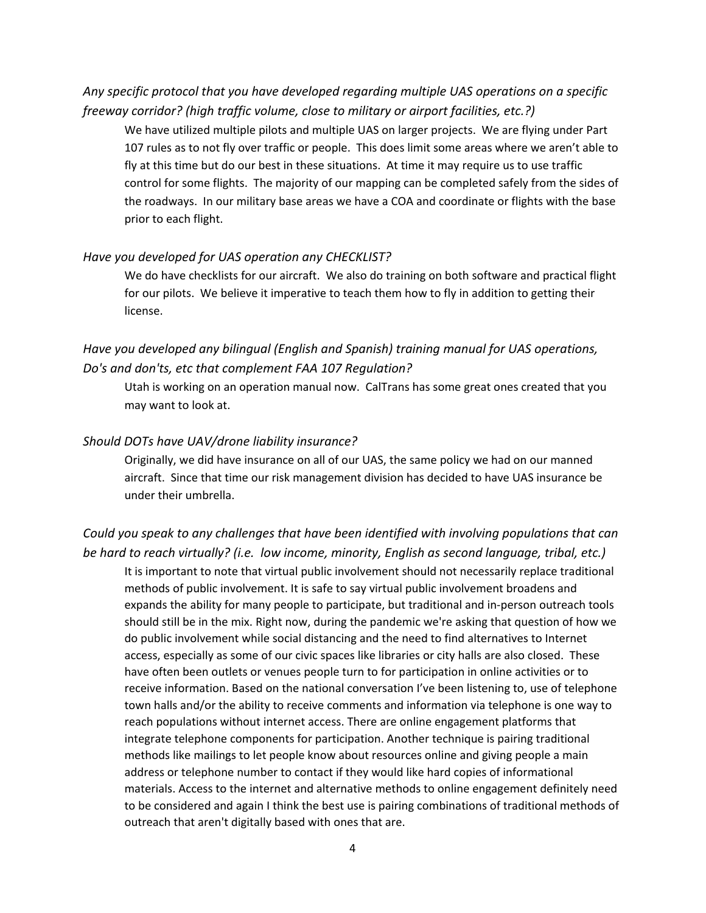## *Any specific protocol that you have developed regarding multiple UAS operations on a specific freeway corridor? (high traffic volume, close to military or airport facilities, etc.?)*

We have utilized multiple pilots and multiple UAS on larger projects. We are flying under Part 107 rules as to not fly over traffic or people. This does limit some areas where we aren't able to fly at this time but do our best in these situations. At time it may require us to use traffic control for some flights. The majority of our mapping can be completed safely from the sides of the roadways. In our military base areas we have a COA and coordinate or flights with the base prior to each flight.

#### *Have you developed for UAS operation any CHECKLIST?*

We do have checklists for our aircraft. We also do training on both software and practical flight for our pilots. We believe it imperative to teach them how to fly in addition to getting their license.

## *Have you developed any bilingual (English and Spanish) training manual for UAS operations, Do's and don'ts, etc that complement FAA 107 Regulation?*

Utah is working on an operation manual now. CalTrans has some great ones created that you may want to look at.

#### *Should DOTs have UAV/drone liability insurance?*

Originally, we did have insurance on all of our UAS, the same policy we had on our manned aircraft. Since that time our risk management division has decided to have UAS insurance be under their umbrella.

*Could you speak to any challenges that have been identified with involving populations that can be hard to reach virtually? (i.e. low income, minority, English as second language, tribal, etc.)* It is important to note that virtual public involvement should not necessarily replace traditional methods of public involvement. It is safe to say virtual public involvement broadens and expands the ability for many people to participate, but traditional and in-person outreach tools should still be in the mix. Right now, during the pandemic we're asking that question of how we do public involvement while social distancing and the need to find alternatives to Internet access, especially as some of our civic spaces like libraries or city halls are also closed. These have often been outlets or venues people turn to for participation in online activities or to receive information. Based on the national conversation I've been listening to, use of telephone town halls and/or the ability to receive comments and information via telephone is one way to reach populations without internet access. There are online engagement platforms that integrate telephone components for participation. Another technique is pairing traditional methods like mailings to let people know about resources online and giving people a main address or telephone number to contact if they would like hard copies of informational materials. Access to the internet and alternative methods to online engagement definitely need to be considered and again I think the best use is pairing combinations of traditional methods of outreach that aren't digitally based with ones that are.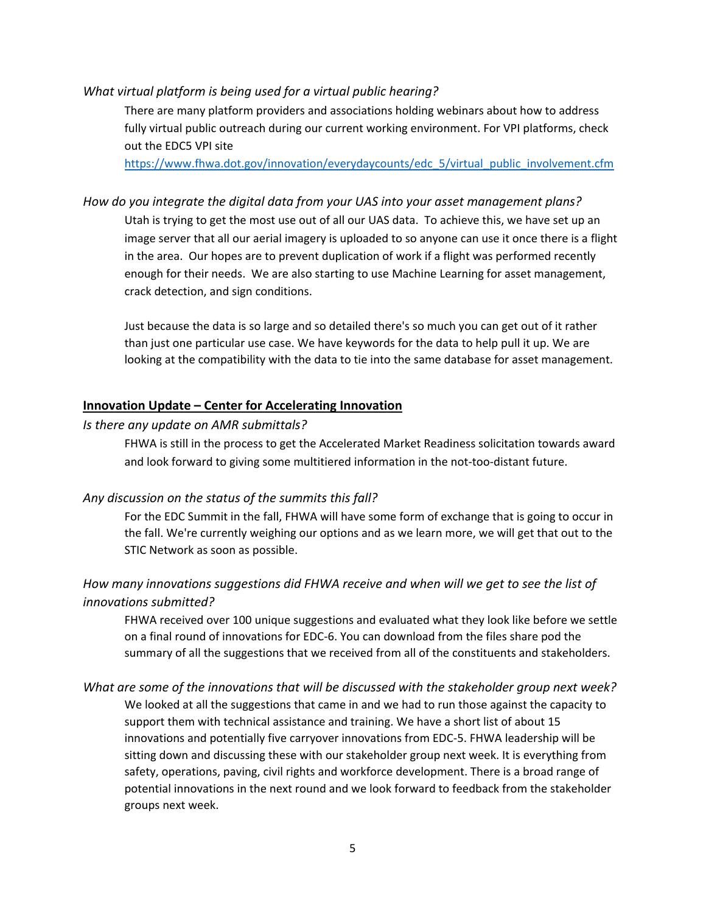#### *What virtual platform is being used for a virtual public hearing?*

There are many platform providers and associations holding webinars about how to address fully virtual public outreach during our current working environment. For VPI platforms, check out the EDC5 VPI site

[https://www.fhwa.dot.gov/innovation/everydaycounts/edc\\_5/virtual\\_public\\_involvement.cfm](https://www.fhwa.dot.gov/innovation/everydaycounts/edc_5/virtual_public_involvement.cfm)

#### *How do you integrate the digital data from your UAS into your asset management plans?*

Utah is trying to get the most use out of all our UAS data. To achieve this, we have set up an image server that all our aerial imagery is uploaded to so anyone can use it once there is a flight in the area. Our hopes are to prevent duplication of work if a flight was performed recently enough for their needs. We are also starting to use Machine Learning for asset management, crack detection, and sign conditions.

Just because the data is so large and so detailed there's so much you can get out of it rather than just one particular use case. We have keywords for the data to help pull it up. We are looking at the compatibility with the data to tie into the same database for asset management.

#### **Innovation Update – Center for Accelerating Innovation**

#### *Is there any update on AMR submittals?*

FHWA is still in the process to get the Accelerated Market Readiness solicitation towards award and look forward to giving some multitiered information in the not-too-distant future.

#### *Any discussion on the status of the summits this fall?*

For the EDC Summit in the fall, FHWA will have some form of exchange that is going to occur in the fall. We're currently weighing our options and as we learn more, we will get that out to the STIC Network as soon as possible.

#### *How many innovations suggestions did FHWA receive and when will we get to see the list of innovations submitted?*

FHWA received over 100 unique suggestions and evaluated what they look like before we settle on a final round of innovations for EDC-6. You can download from the files share pod the summary of all the suggestions that we received from all of the constituents and stakeholders.

## *What are some of the innovations that will be discussed with the stakeholder group next week?* We looked at all the suggestions that came in and we had to run those against the capacity to support them with technical assistance and training. We have a short list of about 15 innovations and potentially five carryover innovations from EDC-5. FHWA leadership will be sitting down and discussing these with our stakeholder group next week. It is everything from safety, operations, paving, civil rights and workforce development. There is a broad range of potential innovations in the next round and we look forward to feedback from the stakeholder groups next week.